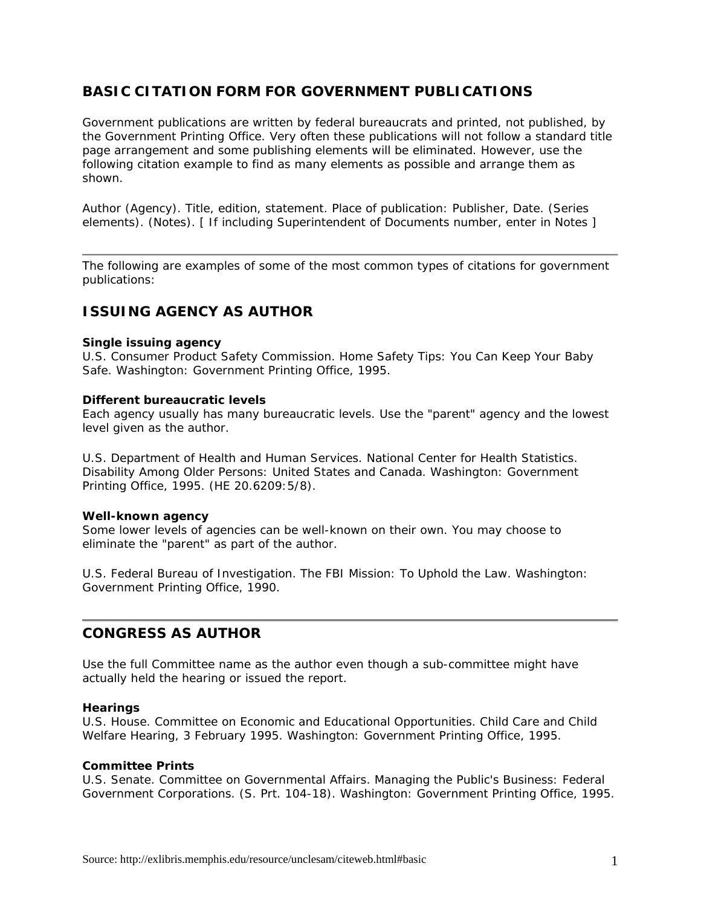# **BASIC CITATION FORM FOR GOVERNMENT PUBLICATIONS**

Government publications are written by federal bureaucrats and printed, not published, by the Government Printing Office. Very often these publications will not follow a standard title page arrangement and some publishing elements will be eliminated. However, use the following citation example to find as many elements as possible and arrange them as shown.

Author (Agency). *Title, edition, statement*. Place of publication: Publisher, Date. (Series elements). (Notes). [ If including Superintendent of Documents number, enter in Notes ]

The following are examples of some of the most common types of citations for government publications:

# **ISSUING AGENCY AS AUTHOR**

### **Single issuing agency**

U.S. Consumer Product Safety Commission. *Home Safety Tips: You Can Keep Your Baby Safe.* Washington: Government Printing Office, 1995.

#### **Different bureaucratic levels**

Each agency usually has many bureaucratic levels. Use the "parent" agency and the lowest level given as the author.

U.S. Department of Health and Human Services. National Center for Health Statistics. *Disability Among Older Persons: United States and Canada*. Washington: Government Printing Office, 1995. (HE 20.6209:5/8).

### **Well-known agency**

Some lower levels of agencies can be well-known on their own. You may choose to eliminate the "parent" as part of the author.

U.S. Federal Bureau of Investigation. *The FBI Mission: To Uphold the Law*. Washington: Government Printing Office, 1990.

## **CONGRESS AS AUTHOR**

Use the full Committee name as the author even though a sub-committee might have actually held the hearing or issued the report.

### **Hearings**

U.S. House. Committee on Economic and Educational Opportunities. *Child Care and Child Welfare* Hearing, 3 February 1995. Washington: Government Printing Office, 1995.

### **Committee Prints**

U.S. Senate. Committee on Governmental Affairs. *Managing the Public's Business: Federal Government Corporations*. (S. Prt. 104-18). Washington: Government Printing Office, 1995.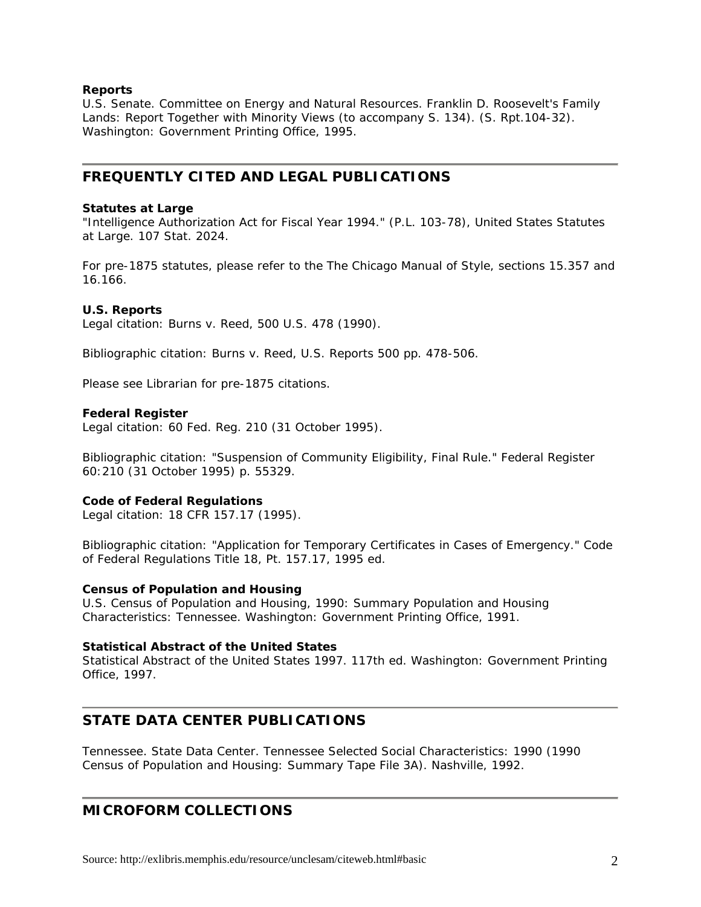### **Reports**

U.S. Senate. Committee on Energy and Natural Resources. *Franklin D. Roosevelt's Family Lands: Report Together with Minority Views (to accompany S. 134)*. (S. Rpt.104-32). Washington: Government Printing Office, 1995.

# **FREQUENTLY CITED AND LEGAL PUBLICATIONS**

### **Statutes at Large**

"Intelligence Authorization Act for Fiscal Year 1994." (P.L. 103-78), *United States Statutes at Large*. 107 Stat. 2024.

For pre-1875 statutes, please refer to the *The Chicago Manual of Style*, sections 15.357 and 16.166.

## **U.S. Reports**

Legal citation: Burns v. Reed, 500 *U.S.* 478 (1990).

Bibliographic citation: Burns v. Reed, *U.S. Reports* 500 pp. 478-506.

Please see Librarian for pre-1875 citations.

## **Federal Register**

Legal citation: 60 *Fed. Reg.* 210 (31 October 1995).

Bibliographic citation: "Suspension of Community Eligibility, Final Rule." *Federal Register* 60:210 (31 October 1995) p. 55329.

## **Code of Federal Regulations**

Legal citation: 18 *CFR* 157.17 (1995).

Bibliographic citation: "Application for Temporary Certificates in Cases of Emergency." *Code of Federal Regulations* Title 18, Pt. 157.17, 1995 ed.

### **Census of Population and Housing**

*U.S. Census of Population and Housing, 1990: Summary Population and Housing Characteristics: Tennessee*. Washington: Government Printing Office, 1991.

### **Statistical Abstract of the United States**

*Statistical Abstract of the United States 1997*. 117th ed. Washington: Government Printing Office, 1997.

# **STATE DATA CENTER PUBLICATIONS**

Tennessee. State Data Center. *Tennessee Selected Social Characteristics: 1990 (1990 Census of Population and Housing: Summary Tape File 3A)*. Nashville, 1992.

# **MICROFORM COLLECTIONS**